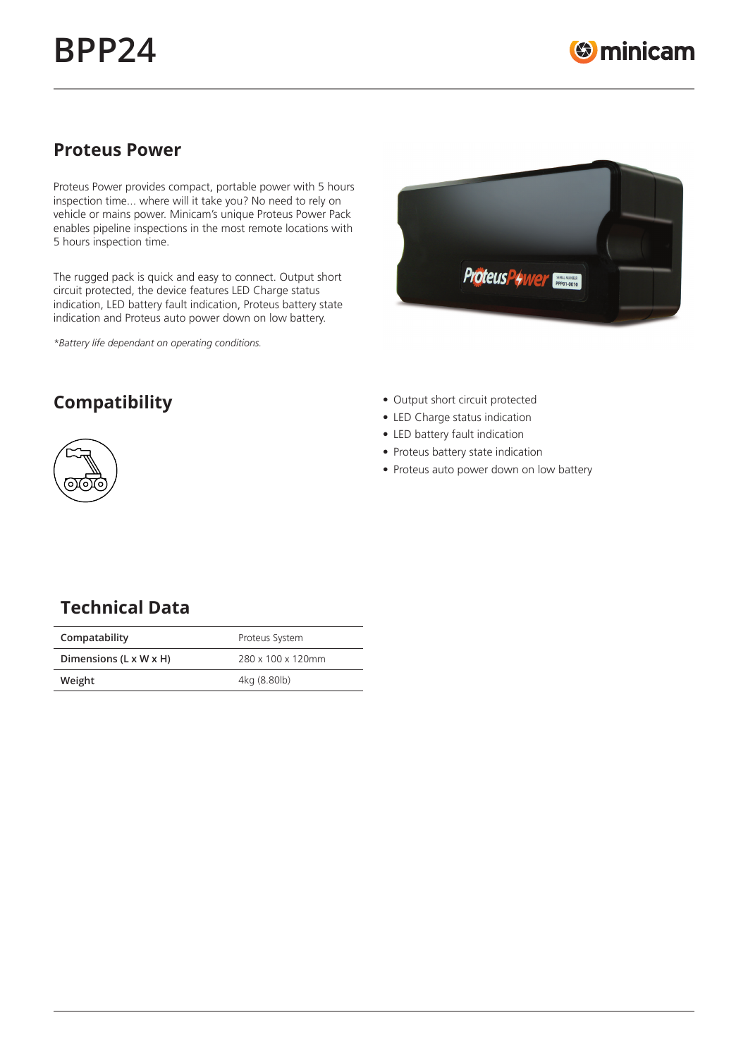## **Proteus Power**

Proteus Power provides compact, portable power with 5 hours inspection time... where will it take you? No need to rely on vehicle or mains power. Minicam's unique Proteus Power Pack enables pipeline inspections in the most remote locations with 5 hours inspection time.

The rugged pack is quick and easy to connect. Output short circuit protected, the device features LED Charge status indication, LED battery fault indication, Proteus battery state indication and Proteus auto power down on low battery.

*\*Battery life dependant on operating conditions.*





- **Compatibility Output short circuit protected** 
	- LED Charge status indication
	- LED battery fault indication
	- Proteus battery state indication
	- Proteus auto power down on low battery

# **Technical Data**

| Compatability          | Proteus System    |
|------------------------|-------------------|
| Dimensions (L x W x H) | 280 x 100 x 120mm |
| Weight                 | 4kg (8.80lb)      |